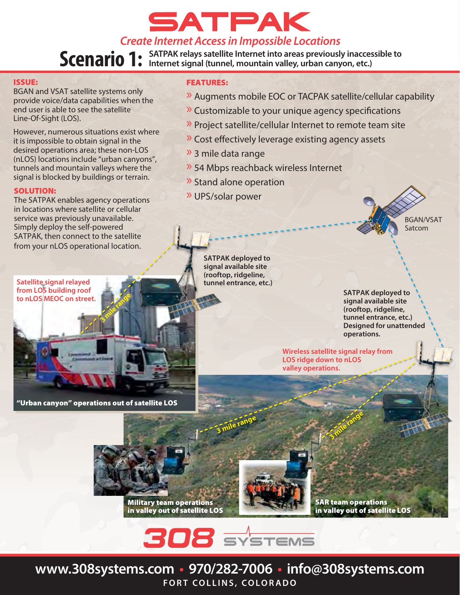# SATPAK *Create Internet Access in Impossible Locations*

Scenario 1: SATPAK relays satellite Internet into areas previously inaccessible to<br>
Scenario 1: Internet signal (tunnel, mountain valley, urban canyon, etc.)

## ISSUE:

BGAN and VSAT satellite systems only provide voice/data capabilities when the end user is able to see the satellite Line-Of-Sight (LOS).

However, numerous situations exist where it is impossible to obtain signal in the desired operations area; these non-LOS (nLOS) locations include "urban canyons", tunnels and mountain valleys where the signal is blocked by buildings or terrain.

# SOLUTION:

The SATPAK enables agency operations in locations where satellite or cellular service was previously unavailable. Simply deploy the self-powered SATPAK, then connect to the satellite from your nLOS operational location.

**Satellite signal relayed from LOS building roof to nLOS MEOC on street.** FEATURES:

- » Augments mobile EOC or TACPAK satellite/cellular capability
- $\lambda$  Customizable to your unique agency specifications
- » Project satellite/cellular Internet to remote team site
- $\lambda$  Cost effectively leverage existing agency assets
- » 3 mile data range
- » 54 Mbps reachback wireless Internet
- » Stand alone operation
- » UPS/solar power



**SATPAK deployed to signal available site (rooftop, ridgeline, tunnel entrance, etc.)**

> **SATPAK deployed to signal available site (rooftop, ridgeline, tunnel entrance, etc.) Designed for unattended operations.**

**Wireless satellite signal relay from LOS ridge down to nLOS valley operations.**

**3 mile range**

"Urban canyon" operations out of satellite LOS



**3 mile range**



SAR team operations in valley out of satellite LOS



**3 mile range**

**www.308systems.com • 970/282-7006 • info@308systems.com FORT COLLINS, COLORADO**